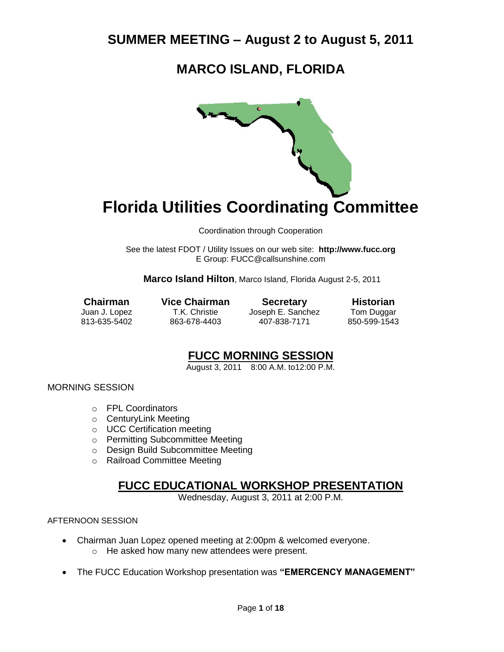# **MARCO ISLAND, FLORIDA**



# **Florida Utilities Coordinating Committee**

Coordination through Cooperation

See the latest FDOT / Utility Issues on our web site: **[http://www.fucc.org](http://www.fucc.org/)** E Group: [FUCC@callsunshine.com](mailto:FUCC@callsunshine.com)

**Marco Island Hilton**, Marco Island, Florida August 2-5, 2011

**Chairman Vice Chairman Secretary Historian**<br>
Juan J. Lopez T.K. Christie Joseph E. Sanchez Tom Duggar Joseph E. Sanchez 813-635-5402 863-678-4403 407-838-7171 850-599-1543

### **FUCC MORNING SESSION**

August 3, 2011 8:00 A.M. to12:00 P.M.

MORNING SESSION

- o FPL Coordinators
- o CenturyLink Meeting
- o UCC Certification meeting
- o Permitting Subcommittee Meeting
- o Design Build Subcommittee Meeting
- o Railroad Committee Meeting

### **FUCC EDUCATIONAL WORKSHOP PRESENTATION**

Wednesday, August 3, 2011 at 2:00 P.M.

#### AFTERNOON SESSION

- Chairman Juan Lopez opened meeting at 2:00pm & welcomed everyone.
	- o He asked how many new attendees were present.
- The FUCC Education Workshop presentation was **"EMERCENCY MANAGEMENT"**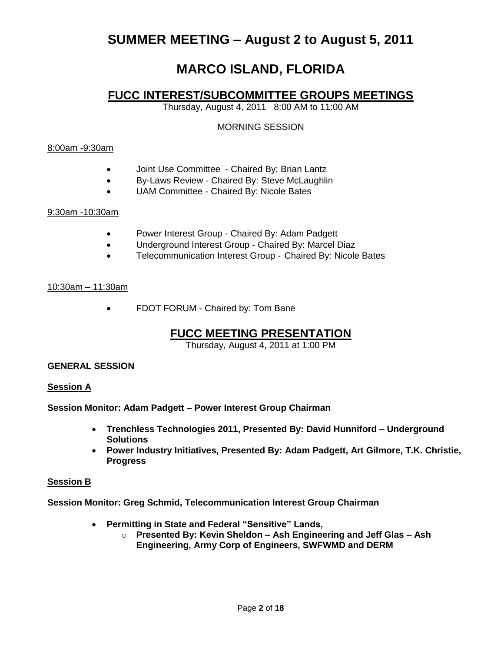# **MARCO ISLAND, FLORIDA**

### **FUCC INTEREST/SUBCOMMITTEE GROUPS MEETINGS**

Thursday, August 4, 2011 8:00 AM to 11:00 AM

#### MORNING SESSION

#### 8:00am -9:30am

- Joint Use Committee Chaired By; Brian Lantz
- By-Laws Review Chaired By: Steve McLaughlin
- UAM Committee Chaired By: Nicole Bates

#### 9:30am -10:30am

- Power Interest Group Chaired By: Adam Padgett
- Underground Interest Group Chaired By: Marcel Diaz
- Telecommunication Interest Group Chaired By: Nicole Bates

#### 10:30am – 11:30am

FDOT FORUM - Chaired by: Tom Bane

## **FUCC MEETING PRESENTATION**

Thursday, August 4, 2011 at 1:00 PM

#### **GENERAL SESSION**

#### **Session A**

**Session Monitor: Adam Padgett – Power Interest Group Chairman**

- **Trenchless Technologies 2011, Presented By: David Hunniford – Underground Solutions**
- **Power Industry Initiatives, Presented By: Adam Padgett, Art Gilmore, T.K. Christie, Progress**

#### **Session B**

**Session Monitor: Greg Schmid, Telecommunication Interest Group Chairman**

- **Permitting in State and Federal "Sensitive" Lands,** 
	- o **Presented By: Kevin Sheldon – Ash Engineering and Jeff Glas – Ash Engineering, Army Corp of Engineers, SWFWMD and DERM**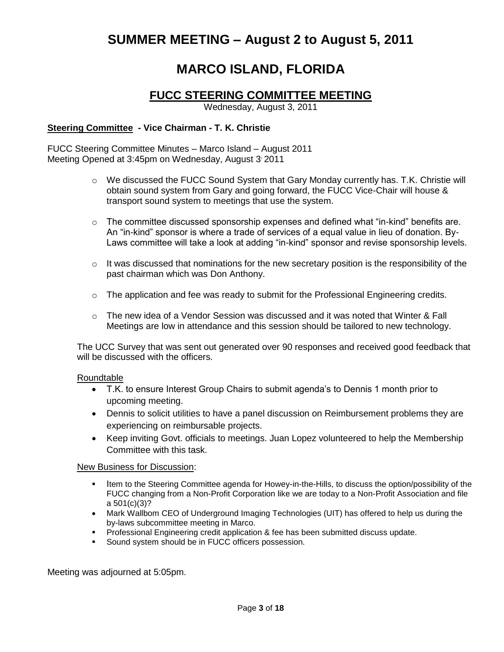# **MARCO ISLAND, FLORIDA**

## **FUCC STEERING COMMITTEE MEETING**

Wednesday, August 3, 2011

#### **Steering Committee - Vice Chairman - T. K. Christie**

FUCC Steering Committee Minutes – Marco Island – August 2011 Meeting Opened at 3:45pm on Wednesday, August 3, 2011

- $\circ$  We discussed the FUCC Sound System that Gary Monday currently has. T.K. Christie will obtain sound system from Gary and going forward, the FUCC Vice-Chair will house & transport sound system to meetings that use the system.
- $\circ$  The committee discussed sponsorship expenses and defined what "in-kind" benefits are. An "in-kind" sponsor is where a trade of services of a equal value in lieu of donation. By-Laws committee will take a look at adding "in-kind" sponsor and revise sponsorship levels.
- $\circ$  It was discussed that nominations for the new secretary position is the responsibility of the past chairman which was Don Anthony.
- o The application and fee was ready to submit for the Professional Engineering credits.
- $\circ$  The new idea of a Vendor Session was discussed and it was noted that Winter & Fall Meetings are low in attendance and this session should be tailored to new technology.

The UCC Survey that was sent out generated over 90 responses and received good feedback that will be discussed with the officers.

#### Roundtable

- T.K. to ensure Interest Group Chairs to submit agenda"s to Dennis 1 month prior to upcoming meeting.
- Dennis to solicit utilities to have a panel discussion on Reimbursement problems they are experiencing on reimbursable projects.
- Keep inviting Govt. officials to meetings. Juan Lopez volunteered to help the Membership Committee with this task.

#### New Business for Discussion:

- Item to the Steering Committee agenda for Howey-in-the-Hills, to discuss the option/possibility of the FUCC changing from a Non-Profit Corporation like we are today to a Non-Profit Association and file a 501(c)(3)?
- Mark Wallbom CEO of Underground Imaging Technologies (UIT) has offered to help us during the by-laws subcommittee meeting in Marco.
- **Professional Engineering credit application & fee has been submitted discuss update.**
- **Sound system should be in FUCC officers possession.**

Meeting was adjourned at 5:05pm.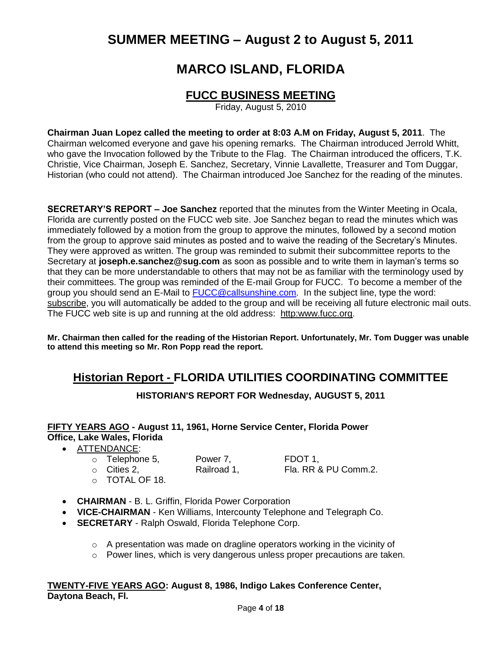# **MARCO ISLAND, FLORIDA**

## **FUCC BUSINESS MEETING**

Friday, August 5, 2010

**Chairman Juan Lopez called the meeting to order at 8:03 A.M on Friday, August 5, 2011**. The Chairman welcomed everyone and gave his opening remarks. The Chairman introduced Jerrold Whitt, who gave the Invocation followed by the Tribute to the Flag. The Chairman introduced the officers, T.K. Christie, Vice Chairman, Joseph E. Sanchez, Secretary, Vinnie Lavallette, Treasurer and Tom Duggar, Historian (who could not attend). The Chairman introduced Joe Sanchez for the reading of the minutes.

**SECRETARY'S REPORT – Joe Sanchez** reported that the minutes from the Winter Meeting in Ocala, Florida are currently posted on the FUCC web site. Joe Sanchez began to read the minutes which was immediately followed by a motion from the group to approve the minutes, followed by a second motion from the group to approve said minutes as posted and to waive the reading of the Secretary"s Minutes. They were approved as written. The group was reminded to submit their subcommittee reports to the Secretary at **[joseph.e.sanchez@sug.com](mailto:joseph.e.sanchez@sug.com)** as soon as possible and to write them in layman"s terms so that they can be more understandable to others that may not be as familiar with the terminology used by their committees. The group was reminded of the E-mail Group for FUCC. To become a member of the group you should send an E-Mail to [FUCC@callsunshine.com.](mailto:FUCC@callsunshine.com) In the subject line, type the word: subscribe, you will automatically be added to the group and will be receiving all future electronic mail outs. The FUCC web site is up and running at the old address: http:www.fucc.org.

**Mr. Chairman then called for the reading of the Historian Report. Unfortunately, Mr. Tom Dugger was unable to attend this meeting so Mr. Ron Popp read the report.** 

## **Historian Report - FLORIDA UTILITIES COORDINATING COMMITTEE**

**HISTORIAN'S REPORT FOR Wednesday, AUGUST 5, 2011**

### **FIFTY YEARS AGO - August 11, 1961, Horne Service Center, Florida Power Office, Lake Wales, Florida**

#### ATTENDANCE:

| $\circ$ Telephone 5, | Power 7,    | FDOT 1.              |
|----------------------|-------------|----------------------|
| $\circ$ Cities 2,    | Railroad 1, | Fla. RR & PU Comm.2. |
| O TOTAL OF 18.       |             |                      |

- **CHAIRMAN** B. L. Griffin, Florida Power Corporation
- **VICE-CHAIRMAN** Ken Williams, Intercounty Telephone and Telegraph Co.
- **SECRETARY** Ralph Oswald, Florida Telephone Corp.
	- o A presentation was made on dragline operators working in the vicinity of
	- $\circ$  Power lines, which is very dangerous unless proper precautions are taken.

#### **TWENTY-FIVE YEARS AGO: August 8, 1986, Indigo Lakes Conference Center, Daytona Beach, Fl.**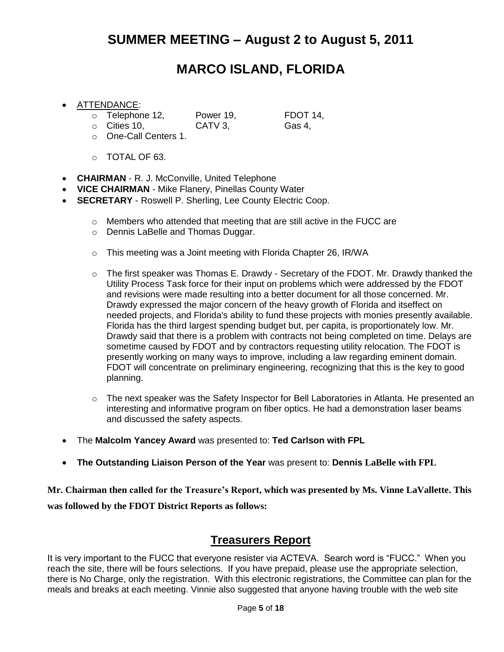# **MARCO ISLAND, FLORIDA**

#### ATTENDANCE:

- o Telephone 12, Power 19, FDOT 14,
- o Cities 10, CATV 3, Gas 4,

- o One-Call Centers 1.
- o TOTAL OF 63.
- **CHAIRMAN** R. J. McConville, United Telephone
- **VICE CHAIRMAN** Mike Flanery, Pinellas County Water
- **SECRETARY**  Roswell P. Sherling, Lee County Electric Coop.
	- o Members who attended that meeting that are still active in the FUCC are
	- o Dennis LaBelle and Thomas Duggar.
	- o This meeting was a Joint meeting with Florida Chapter 26, IR/WA
	- $\circ$  The first speaker was Thomas E. Drawdy Secretary of the FDOT. Mr. Drawdy thanked the Utility Process Task force for their input on problems which were addressed by the FDOT and revisions were made resulting into a better document for all those concerned. Mr. Drawdy expressed the major concern of the heavy growth of Florida and itseffect on needed projects, and Florida's ability to fund these projects with monies presently available. Florida has the third largest spending budget but, per capita, is proportionately low. Mr. Drawdy said that there is a problem with contracts not being completed on time. Delays are sometime caused by FDOT and by contractors requesting utility relocation. The FDOT is presently working on many ways to improve, including a law regarding eminent domain. FDOT will concentrate on preliminary engineering, recognizing that this is the key to good planning.
	- o The next speaker was the Safety Inspector for Bell Laboratories in Atlanta. He presented an interesting and informative program on fiber optics. He had a demonstration laser beams and discussed the safety aspects.
- The **Malcolm Yancey Award** was presented to: **Ted Carlson with FPL**
- **The Outstanding Liaison Person of the Year** was present to: **Dennis LaBelle with FPL**

**Mr. Chairman then called for the Treasure's Report, which was presented by Ms. Vinne LaVallette. This was followed by the FDOT District Reports as follows:**

### **Treasurers Report**

It is very important to the FUCC that everyone resister via ACTEVA. Search word is "FUCC." When you reach the site, there will be fours selections. If you have prepaid, please use the appropriate selection, there is No Charge, only the registration. With this electronic registrations, the Committee can plan for the meals and breaks at each meeting. Vinnie also suggested that anyone having trouble with the web site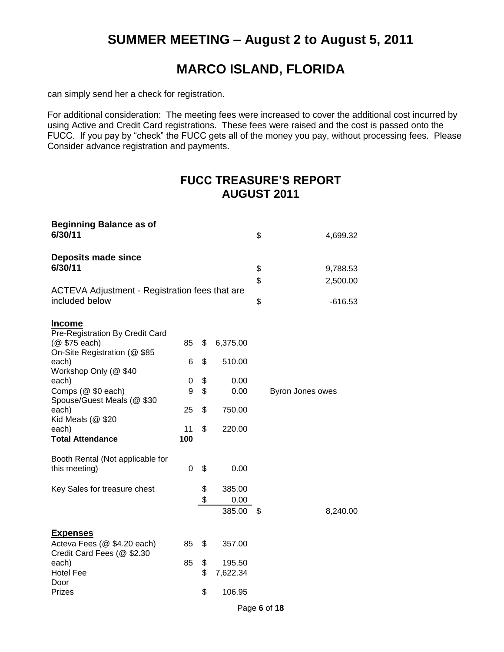# **MARCO ISLAND, FLORIDA**

can simply send her a check for registration.

For additional consideration: The meeting fees were increased to cover the additional cost incurred by using Active and Credit Card registrations. These fees were raised and the cost is passed onto the FUCC. If you pay by "check" the FUCC gets all of the money you pay, without processing fees. Please Consider advance registration and payments.

## **FUCC TREASURE'S REPORT AUGUST 2011**

| <b>Beginning Balance as of</b><br>6/30/11                                                         |           |          |                          | \$       | 4,699.32             |
|---------------------------------------------------------------------------------------------------|-----------|----------|--------------------------|----------|----------------------|
| <b>Deposits made since</b><br>6/30/11                                                             |           |          |                          | \$<br>\$ | 9,788.53<br>2,500.00 |
| ACTEVA Adjustment - Registration fees that are<br>included below                                  |           |          |                          | \$       | $-616.53$            |
| <b>Income</b><br>Pre-Registration By Credit Card<br>(@ \$75 each)<br>On-Site Registration (@ \$85 | 85        | \$       | 6,375.00                 |          |                      |
| each)<br>Workshop Only (@ \$40                                                                    | 6         | \$       | 510.00                   |          |                      |
| each)<br>Comps (@ \$0 each)<br>Spouse/Guest Meals (@ \$30                                         | 0<br>9    | \$<br>\$ | 0.00<br>0.00             |          | Byron Jones owes     |
| each)<br>Kid Meals (@ \$20                                                                        | 25        | \$       | 750.00                   |          |                      |
| each)<br><b>Total Attendance</b>                                                                  | 11<br>100 | \$       | 220.00                   |          |                      |
| Booth Rental (Not applicable for<br>this meeting)                                                 | 0         | \$       | 0.00                     |          |                      |
| Key Sales for treasure chest                                                                      |           | \$<br>\$ | 385.00<br>0.00<br>385.00 | S        | 8,240.00             |
| <b>Expenses</b><br>Acteva Fees (@ \$4.20 each)                                                    | 85        | \$       | 357.00                   |          |                      |
| Credit Card Fees (@ \$2.30                                                                        |           |          |                          |          |                      |
| each)<br><b>Hotel Fee</b>                                                                         | 85        | \$<br>\$ | 195.50<br>7,622.34       |          |                      |
| Door<br>Prizes                                                                                    |           | \$       | 106.95                   |          |                      |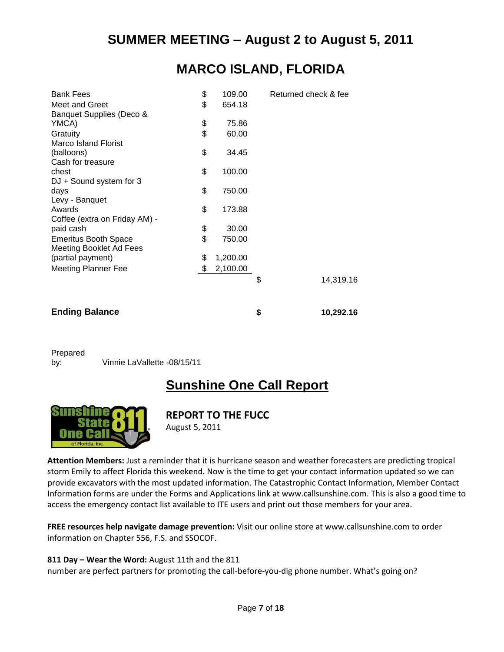# **MARCO ISLAND, FLORIDA**

| <b>Bank Fees</b>               | \$<br>109.00   | Returned check & fee |
|--------------------------------|----------------|----------------------|
| Meet and Greet                 | \$<br>654.18   |                      |
| Banquet Supplies (Deco &       |                |                      |
| YMCA)                          | \$<br>75.86    |                      |
| Gratuity                       | \$<br>60.00    |                      |
| <b>Marco Island Florist</b>    |                |                      |
| (balloons)                     | \$<br>34.45    |                      |
| Cash for treasure              |                |                      |
| chest                          | \$<br>100.00   |                      |
| DJ + Sound system for 3        |                |                      |
| days                           | \$<br>750.00   |                      |
| Levy - Banquet                 |                |                      |
| Awards                         | \$<br>173.88   |                      |
| Coffee (extra on Friday AM) -  |                |                      |
| paid cash                      | \$<br>30.00    |                      |
| <b>Emeritus Booth Space</b>    | \$<br>750.00   |                      |
| <b>Meeting Booklet Ad Fees</b> |                |                      |
| (partial payment)              | \$<br>1,200.00 |                      |
| <b>Meeting Planner Fee</b>     | \$<br>2,100.00 |                      |
|                                |                | \$<br>14,319.16      |
|                                |                |                      |
|                                |                |                      |
| <b>Ending Balance</b>          |                | \$<br>10,292.16      |

Prepared

by: Vinnie LaVallette -08/15/11

# **Sunshine One Call Report**



### **REPORT TO THE FUCC**

August 5, 2011

**Attention Members:** Just a reminder that it is hurricane season and weather forecasters are predicting tropical storm Emily to affect Florida this weekend. Now is the time to get your contact information updated so we can provide excavators with the most updated information. The Catastrophic Contact Information, Member Contact Information forms are under the Forms and Applications link at www.callsunshine.com. This is also a good time to access the emergency contact list available to ITE users and print out those members for your area.

**FREE resources help navigate damage prevention:** Visit our online store at www.callsunshine.com to order information on Chapter 556, F.S. and SSOCOF.

#### **811 Day – Wear the Word:** August 11th and the 811

number are perfect partners for promoting the call-before-you-dig phone number. What's going on?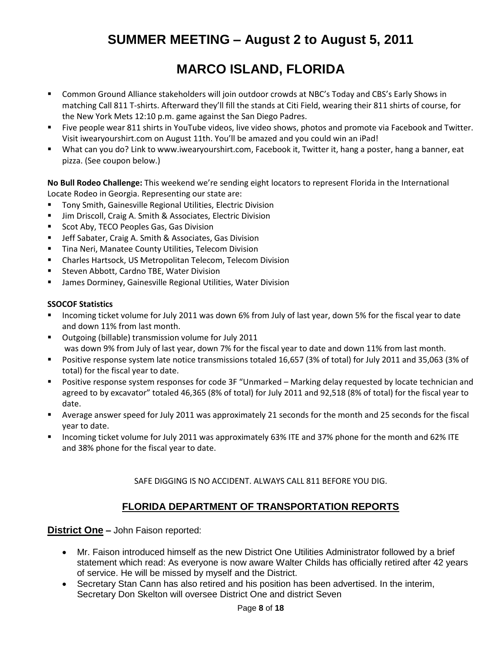# **MARCO ISLAND, FLORIDA**

- Common Ground Alliance stakeholders will join outdoor crowds at NBC's Today and CBS's Early Shows in matching Call 811 T-shirts. Afterward they'll fill the stands at Citi Field, wearing their 811 shirts of course, for the New York Mets 12:10 p.m. game against the San Diego Padres.
- Five people wear 811 shirts in YouTube videos, live video shows, photos and promote via Facebook and Twitter. Visit iwearyourshirt.com on August 11th. You'll be amazed and you could win an iPad!
- What can you do? Link to www.iwearyourshirt.com, Facebook it, Twitter it, hang a poster, hang a banner, eat pizza. (See coupon below.)

**No Bull Rodeo Challenge:** This weekend we're sending eight locators to represent Florida in the International Locate Rodeo in Georgia. Representing our state are:

- **Tony Smith, Gainesville Regional Utilities, Electric Division**
- **URICT:** Jim Driscoll, Craig A. Smith & Associates, Electric Division
- **Scot Aby, TECO Peoples Gas, Gas Division**
- **ULACTER Sabater, Craig A. Smith & Associates, Gas Division**
- **Tina Neri, Manatee County Utilities, Telecom Division**
- Charles Hartsock, US Metropolitan Telecom, Telecom Division
- **EXECTE: Steven Abbott, Cardno TBE, Water Division**
- James Dorminey, Gainesville Regional Utilities, Water Division

#### **SSOCOF Statistics**

- Incoming ticket volume for July 2011 was down 6% from July of last year, down 5% for the fiscal year to date and down 11% from last month.
- Outgoing (billable) transmission volume for July 2011 was down 9% from July of last year, down 7% for the fiscal year to date and down 11% from last month.
- Positive response system late notice transmissions totaled 16,657 (3% of total) for July 2011 and 35,063 (3% of total) for the fiscal year to date.
- Positive response system responses for code 3F "Unmarked Marking delay requested by locate technician and agreed to by excavator" totaled 46,365 (8% of total) for July 2011 and 92,518 (8% of total) for the fiscal year to date.
- Average answer speed for July 2011 was approximately 21 seconds for the month and 25 seconds for the fiscal year to date.
- **Incoming ticket volume for July 2011 was approximately 63% ITE and 37% phone for the month and 62% ITE** and 38% phone for the fiscal year to date.

SAFE DIGGING IS NO ACCIDENT. ALWAYS CALL 811 BEFORE YOU DIG.

### **FLORIDA DEPARTMENT OF TRANSPORTATION REPORTS**

**District One –** John Faison reported:

- Mr. Faison introduced himself as the new District One Utilities Administrator followed by a brief statement which read: As everyone is now aware Walter Childs has officially retired after 42 years of service. He will be missed by myself and the District.
- Secretary Stan Cann has also retired and his position has been advertised. In the interim, Secretary Don Skelton will oversee District One and district Seven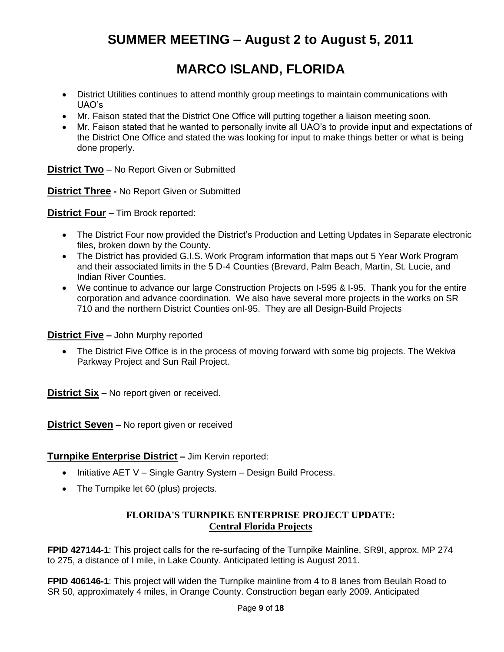# **MARCO ISLAND, FLORIDA**

- District Utilities continues to attend monthly group meetings to maintain communications with UAO"s
- Mr. Faison stated that the District One Office will putting together a liaison meeting soon.
- Mr. Faison stated that he wanted to personally invite all UAO"s to provide input and expectations of the District One Office and stated the was looking for input to make things better or what is being done properly.

**District Two** – No Report Given or Submitted

**District Three -** No Report Given or Submitted

**District Four –** Tim Brock reported:

- The District Four now provided the District's Production and Letting Updates in Separate electronic files, broken down by the County.
- The District has provided G.I.S. Work Program information that maps out 5 Year Work Program and their associated limits in the 5 D-4 Counties (Brevard, Palm Beach, Martin, St. Lucie, and Indian River Counties.
- We continue to advance our large Construction Projects on I-595 & I-95. Thank you for the entire corporation and advance coordination. We also have several more projects in the works on SR 710 and the northern District Counties onI-95. They are all Design-Build Projects

**District Five –** John Murphy reported

 The District Five Office is in the process of moving forward with some big projects. The Wekiva Parkway Project and Sun Rail Project.

**District Six –** No report given or received.

**District Seven –** No report given or received

**Turnpike Enterprise District –** Jim Kervin reported:

- $\bullet$  Initiative AET V Single Gantry System Design Build Process.
- The Turnpike let 60 (plus) projects.

### **FLORIDA'S TURNPIKE ENTERPRISE PROJECT UPDATE: Central Florida Projects**

**FPID 427144-1**: This project calls for the re-surfacing of the Turnpike Mainline, SR9I, approx. MP 274 to 275, a distance of I mile, in Lake County. Anticipated letting is August 2011.

**FPID 406146-1**: This project will widen the Turnpike mainline from 4 to 8 lanes from Beulah Road to SR 50, approximately 4 miles, in Orange County. Construction began early 2009. Anticipated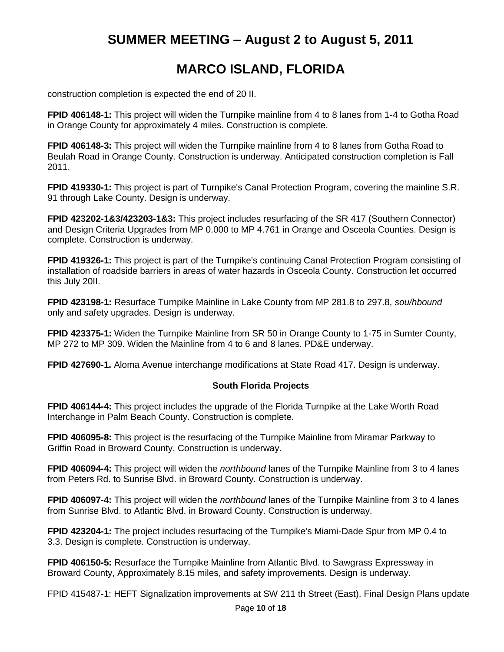# **MARCO ISLAND, FLORIDA**

construction completion is expected the end of 20 II.

**FPID 406148-1:** This project will widen the Turnpike mainline from 4 to 8 lanes from 1-4 to Gotha Road in Orange County for approximately 4 miles. Construction is complete.

**FPID 406148-3:** This project will widen the Turnpike mainline from 4 to 8 lanes from Gotha Road to Beulah Road in Orange County. Construction is underway. Anticipated construction completion is Fall 2011.

**FPID 419330-1:** This project is part of Turnpike's Canal Protection Program, covering the mainline S.R. 91 through Lake County. Design is underway.

**FPID 423202-1&3/423203-1&3:** This project includes resurfacing of the SR 417 (Southern Connector) and Design Criteria Upgrades from MP 0.000 to MP 4.761 in Orange and Osceola Counties. Design is complete. Construction is underway.

**FPID 419326-1:** This project is part of the Turnpike's continuing Canal Protection Program consisting of installation of roadside barriers in areas of water hazards in Osceola County. Construction let occurred this July 20II.

**FPID 423198-1:** Resurface Turnpike Mainline in Lake County from MP 281.8 to 297.8, *sou/hbound* only and safety upgrades. Design is underway.

**FPID 423375-1:** Widen the Turnpike Mainline from SR 50 in Orange County to 1-75 in Sumter County, MP 272 to MP 309. Widen the Mainline from 4 to 6 and 8 lanes. PD&E underway.

**FPID 427690-1.** Aloma Avenue interchange modifications at State Road 417. Design is underway.

#### **South Florida Projects**

**FPID 406144-4:** This project includes the upgrade of the Florida Turnpike at the Lake Worth Road Interchange in Palm Beach County. Construction is complete.

**FPID 406095-8:** This project is the resurfacing of the Turnpike Mainline from Miramar Parkway to Griffin Road in Broward County. Construction is underway.

**FPID 406094-4:** This project will widen the *northbound* lanes of the Turnpike Mainline from 3 to 4 lanes from Peters Rd. to Sunrise Blvd. in Broward County. Construction is underway.

**FPID 406097-4:** This project will widen the *northbound* lanes of the Turnpike Mainline from 3 to 4 lanes from Sunrise Blvd. to Atlantic Blvd. in Broward County. Construction is underway.

**FPID 423204-1:** The project includes resurfacing of the Turnpike's Miami-Dade Spur from MP 0.4 to 3.3. Design is complete. Construction is underway.

**FPID 406150-5:** Resurface the Turnpike Mainline from Atlantic Blvd. to Sawgrass Expressway in Broward County, Approximately 8.15 miles, and safety improvements. Design is underway.

FPID 415487-1: HEFT Signalization improvements at SW 211 th Street (East). Final Design Plans update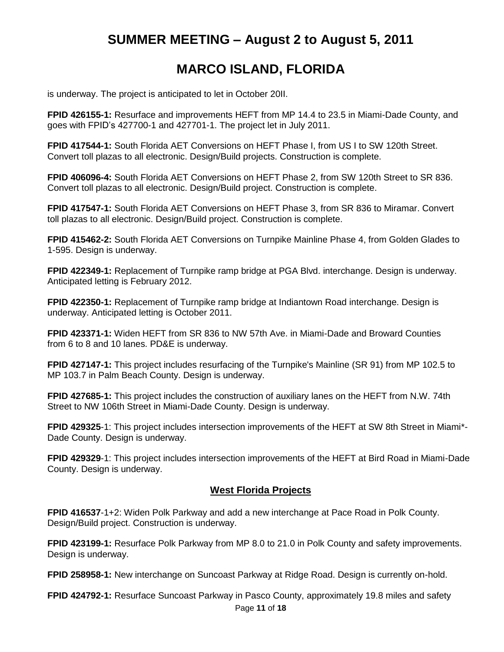# **MARCO ISLAND, FLORIDA**

is underway. The project is anticipated to let in October 20II.

**FPID 426155-1:** Resurface and improvements HEFT from MP 14.4 to 23.5 in Miami-Dade County, and goes with FPID"s 427700-1 and 427701-1. The project let in July 2011.

**FPID 417544-1:** South Florida AET Conversions on HEFT Phase I, from US I to SW 120th Street. Convert toll plazas to all electronic. Design/Build projects. Construction is complete.

**FPID 406096-4:** South Florida AET Conversions on HEFT Phase 2, from SW 120th Street to SR 836. Convert toll plazas to all electronic. Design/Build project. Construction is complete.

**FPID 417547-1:** South Florida AET Conversions on HEFT Phase 3, from SR 836 to Miramar. Convert toll plazas to all electronic. Design/Build project. Construction is complete.

**FPID 415462-2:** South Florida AET Conversions on Turnpike Mainline Phase 4, from Golden Glades to 1-595. Design is underway.

**FPID 422349-1:** Replacement of Turnpike ramp bridge at PGA Blvd. interchange. Design is underway. Anticipated letting is February 2012.

**FPID 422350-1:** Replacement of Turnpike ramp bridge at Indiantown Road interchange. Design is underway. Anticipated letting is October 2011.

**FPID 423371-1:** Widen HEFT from SR 836 to NW 57th Ave. in Miami-Dade and Broward Counties from 6 to 8 and 10 lanes. PD&E is underway.

**FPID 427147-1:** This project includes resurfacing of the Turnpike's Mainline (SR 91) from MP 102.5 to MP 103.7 in Palm Beach County. Design is underway.

**FPID 427685-1:** This project includes the construction of auxiliary lanes on the HEFT from N.W. 74th Street to NW 106th Street in Miami-Dade County. Design is underway.

**FPID 429325**-1: This project includes intersection improvements of the HEFT at SW 8th Street in Miami\*- Dade County. Design is underway.

**FPID 429329**-1: This project includes intersection improvements of the HEFT at Bird Road in Miami-Dade County. Design is underway.

### **West Florida Projects**

**FPID 416537**-1+2: Widen Polk Parkway and add a new interchange at Pace Road in Polk County. Design/Build project. Construction is underway.

**FPID 423199-1:** Resurface Polk Parkway from MP 8.0 to 21.0 in Polk County and safety improvements. Design is underway.

**FPID 258958-1:** New interchange on Suncoast Parkway at Ridge Road. Design is currently on-hold.

Page **11** of **18 FPID 424792-1:** Resurface Suncoast Parkway in Pasco County, approximately 19.8 miles and safety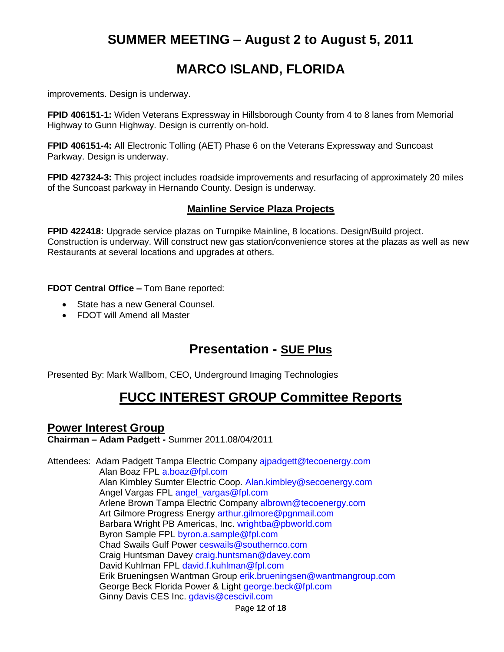# **MARCO ISLAND, FLORIDA**

improvements. Design is underway.

**FPID 406151-1:** Widen Veterans Expressway in Hillsborough County from 4 to 8 lanes from Memorial Highway to Gunn Highway. Design is currently on-hold.

**FPID 406151-4:** All Electronic Tolling (AET) Phase 6 on the Veterans Expressway and Suncoast Parkway. Design is underway.

**FPID 427324-3:** This project includes roadside improvements and resurfacing of approximately 20 miles of the Suncoast parkway in Hernando County. Design is underway.

### **Mainline Service Plaza Projects**

**FPID 422418:** Upgrade service plazas on Turnpike Mainline, 8 locations. Design/Build project. Construction is underway. Will construct new gas station/convenience stores at the plazas as well as new Restaurants at several locations and upgrades at others.

**FDOT Central Office –** Tom Bane reported:

- State has a new General Counsel.
- FDOT will Amend all Master

## **Presentation - SUE Plus**

Presented By: Mark Wallbom, CEO, Underground Imaging Technologies

## **FUCC INTEREST GROUP Committee Reports**

### **Power Interest Group**

**Chairman – Adam Padgett -** Summer 2011.08/04/2011

Attendees: Adam Padgett Tampa Electric Company ajpadgett@tecoenergy.com Alan Boaz FPL a.boaz@fpl.com Alan Kimbley Sumter Electric Coop. Alan.kimbley@secoenergy.com Angel Vargas FPL angel\_vargas@fpl.com Arlene Brown Tampa Electric Company albrown@tecoenergy.com Art Gilmore Progress Energy arthur.gilmore@pgnmail.com Barbara Wright PB Americas, Inc. wrightba@pbworld.com Byron Sample FPL byron.a.sample@fpl.com Chad Swails Gulf Power ceswails@southernco.com Craig Huntsman Davey craig.huntsman@davey.com David Kuhlman FPL david.f.kuhlman@fpl.com Erik Brueningsen Wantman Group erik.brueningsen@wantmangroup.com George Beck Florida Power & Light george.beck@fpl.com Ginny Davis CES Inc. gdavis@cescivil.com

Page **12** of **18**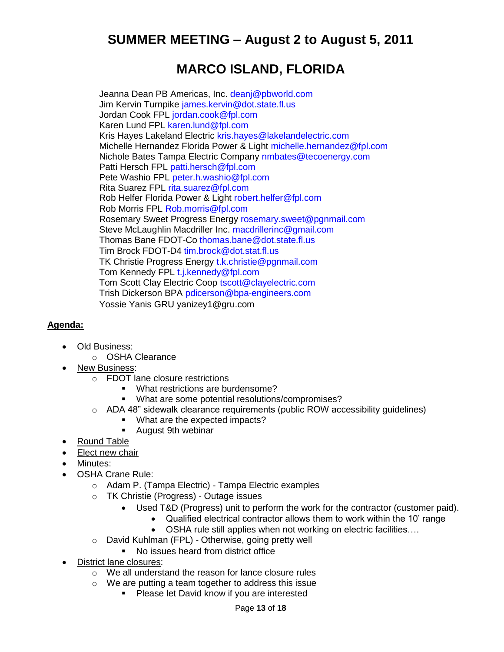# **MARCO ISLAND, FLORIDA**

Jeanna Dean PB Americas, Inc. deanj@pbworld.com Jim Kervin Turnpike james.kervin@dot.state.fl.us Jordan Cook FPL jordan.cook@fpl.com Karen Lund FPL karen.lund@fpl.com Kris Hayes Lakeland Electric kris.hayes@lakelandelectric.com Michelle Hernandez Florida Power & Light michelle.hernandez@fpl.com Nichole Bates Tampa Electric Company nmbates@tecoenergy.com Patti Hersch FPL patti.hersch@fpl.com Pete Washio FPL peter.h.washio@fpl.com Rita Suarez FPL rita.suarez@fpl.com Rob Helfer Florida Power & Light robert.helfer@fpl.com Rob Morris FPL Rob.morris@fpl.com Rosemary Sweet Progress Energy rosemary.sweet@pgnmail.com Steve McLaughlin Macdriller Inc. macdrillerinc@gmail.com Thomas Bane FDOT‐Co thomas.bane@dot.state.fl.us Tim Brock FDOT‐D4 tim.brock@dot.stat.fl.us TK Christie Progress Energy t.k.christie@pgnmail.com Tom Kennedy FPL t.j.kennedy@fpl.com Tom Scott Clay Electric Coop tscott@clayelectric.com Trish Dickerson BPA pdicerson@bpa‐engineers.com Yossie Yanis GRU [yanizey1@gru.com](mailto:yanizey1@gru.com)

#### **Agenda:**

- Old Business:
	- o OSHA Clearance
- New Business:
	- o FDOT lane closure restrictions
		- **What restrictions are burdensome?**
		- What are some potential resolutions/compromises?
	- $\circ$  ADA 48" sidewalk clearance requirements (public ROW accessibility quidelines)
		- **What are the expected impacts?**
		- **August 9th webinar**
- Round Table
- Elect new chair
- Minutes:
- OSHA Crane Rule:
	- o Adam P. (Tampa Electric) ‐ Tampa Electric examples
	- o TK Christie (Progress) ‐ Outage issues
		- Used T&D (Progress) unit to perform the work for the contractor (customer paid).
			- Qualified electrical contractor allows them to work within the 10" range
			- OSHA rule still applies when not working on electric facilities….
	- o David Kuhlman (FPL) ‐ Otherwise, going pretty well
		- No issues heard from district office
- District lane closures:
	- o We all understand the reason for lance closure rules
	- o We are putting a team together to address this issue
		- **Please let David know if you are interested**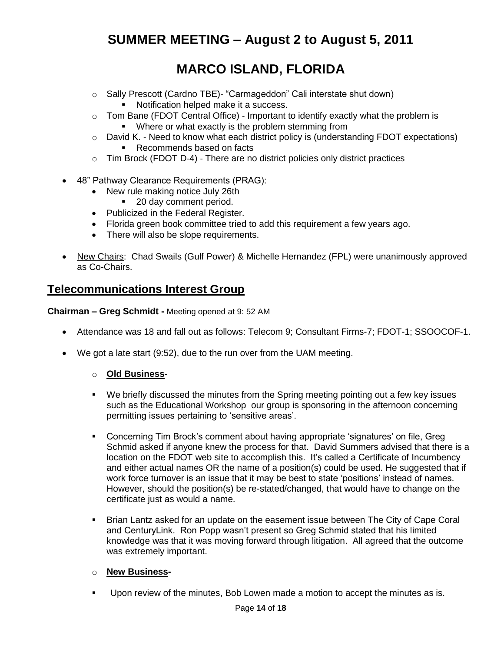# **MARCO ISLAND, FLORIDA**

- o Sally Prescott (Cardno TBE)‐ "Carmageddon" Cali interstate shut down)
	- **Notification helped make it a success.**
- $\circ$  Tom Bane (FDOT Central Office) Important to identify exactly what the problem is
	- **•** Where or what exactly is the problem stemming from
- $\circ$  David K. Need to know what each district policy is (understanding FDOT expectations) ■ Recommends based on facts
- o Tim Brock (FDOT D‐4) ‐ There are no district policies only district practices
- 48" Pathway Clearance Requirements (PRAG):
	- New rule making notice July 26th
		- 20 day comment period.
	- Publicized in the Federal Register.
	- Florida green book committee tried to add this requirement a few years ago.
	- There will also be slope requirements.
- New Chairs: Chad Swails (Gulf Power) & Michelle Hernandez (FPL) were unanimously approved as Co-Chairs.

### **Telecommunications Interest Group**

**Chairman – Greg Schmidt -** Meeting opened at 9: 52 AM

- Attendance was 18 and fall out as follows: Telecom 9; Consultant Firms-7; FDOT-1; SSOOCOF-1.
- We got a late start (9:52), due to the run over from the UAM meeting.

#### o **Old Business-**

- We briefly discussed the minutes from the Spring meeting pointing out a few key issues such as the Educational Workshop our group is sponsoring in the afternoon concerning permitting issues pertaining to 'sensitive areas'.
- Concerning Tim Brock"s comment about having appropriate "signatures" on file, Greg Schmid asked if anyone knew the process for that. David Summers advised that there is a location on the FDOT web site to accomplish this. It's called a Certificate of Incumbency and either actual names OR the name of a position(s) could be used. He suggested that if work force turnover is an issue that it may be best to state "positions" instead of names. However, should the position(s) be re-stated/changed, that would have to change on the certificate just as would a name.
- Brian Lantz asked for an update on the easement issue between The City of Cape Coral and CenturyLink. Ron Popp wasn"t present so Greg Schmid stated that his limited knowledge was that it was moving forward through litigation. All agreed that the outcome was extremely important.

#### o **New Business-**

Upon review of the minutes, Bob Lowen made a motion to accept the minutes as is.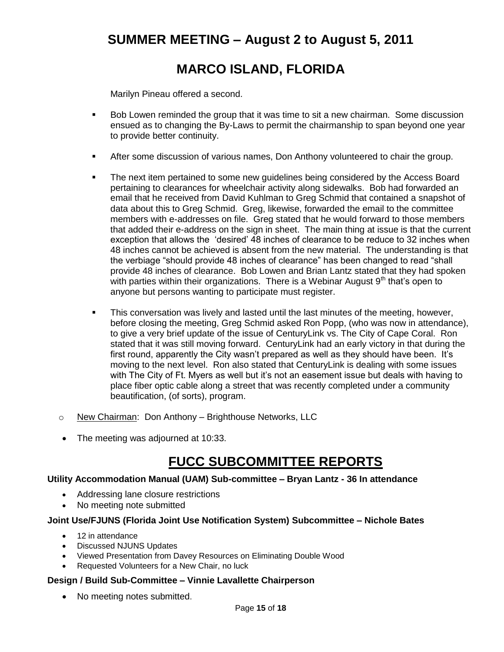# **MARCO ISLAND, FLORIDA**

Marilyn Pineau offered a second.

- Bob Lowen reminded the group that it was time to sit a new chairman. Some discussion ensued as to changing the By-Laws to permit the chairmanship to span beyond one year to provide better continuity.
- After some discussion of various names, Don Anthony volunteered to chair the group.
- The next item pertained to some new guidelines being considered by the Access Board pertaining to clearances for wheelchair activity along sidewalks. Bob had forwarded an email that he received from David Kuhlman to Greg Schmid that contained a snapshot of data about this to Greg Schmid. Greg, likewise, forwarded the email to the committee members with e-addresses on file. Greg stated that he would forward to those members that added their e-address on the sign in sheet. The main thing at issue is that the current exception that allows the "desired" 48 inches of clearance to be reduce to 32 inches when 48 inches cannot be achieved is absent from the new material. The understanding is that the verbiage "should provide 48 inches of clearance" has been changed to read "shall provide 48 inches of clearance. Bob Lowen and Brian Lantz stated that they had spoken with parties within their organizations. There is a Webinar August  $9<sup>th</sup>$  that's open to anyone but persons wanting to participate must register.
- **This conversation was lively and lasted until the last minutes of the meeting, however,** before closing the meeting, Greg Schmid asked Ron Popp, (who was now in attendance), to give a very brief update of the issue of CenturyLink vs. The City of Cape Coral. Ron stated that it was still moving forward. CenturyLink had an early victory in that during the first round, apparently the City wasn't prepared as well as they should have been. It's moving to the next level. Ron also stated that CenturyLink is dealing with some issues with The City of Ft. Myers as well but it's not an easement issue but deals with having to place fiber optic cable along a street that was recently completed under a community beautification, (of sorts), program.
- o New Chairman: Don Anthony Brighthouse Networks, LLC
- The meeting was adjourned at 10:33.

## **FUCC SUBCOMMITTEE REPORTS**

#### **Utility Accommodation Manual (UAM) Sub-committee – Bryan Lantz - 36 In attendance**

- Addressing lane closure restrictions
- No meeting note submitted

#### **Joint Use/FJUNS (Florida Joint Use Notification System) Subcommittee – Nichole Bates**

- 12 in attendance
- Discussed NJUNS Updates
- Viewed Presentation from Davey Resources on Eliminating Double Wood
- Requested Volunteers for a New Chair, no luck

#### **Design / Build Sub-Committee – Vinnie Lavallette Chairperson**

• No meeting notes submitted.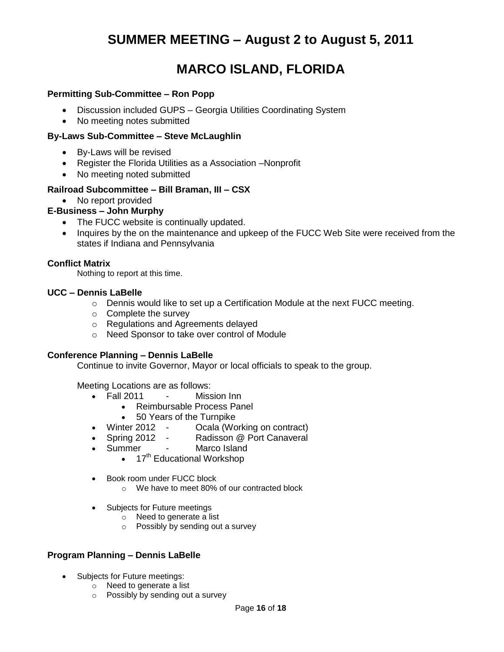# **MARCO ISLAND, FLORIDA**

#### **Permitting Sub-Committee – Ron Popp**

- Discussion included GUPS Georgia Utilities Coordinating System
- No meeting notes submitted

#### **By-Laws Sub-Committee – Steve McLaughlin**

- By-Laws will be revised
- Register the Florida Utilities as a Association –Nonprofit
- No meeting noted submitted

#### **Railroad Subcommittee – Bill Braman, III – CSX**

#### • No report provided

#### **E-Business – John Murphy**

- The FUCC website is continually updated.
- Inquires by the on the maintenance and upkeep of the FUCC Web Site were received from the states if Indiana and Pennsylvania

#### **Conflict Matrix**

Nothing to report at this time.

#### **UCC – Dennis LaBelle**

- o Dennis would like to set up a Certification Module at the next FUCC meeting.
- o Complete the survey
- o Regulations and Agreements delayed
- o Need Sponsor to take over control of Module

#### **Conference Planning – Dennis LaBelle**

Continue to invite Governor, Mayor or local officials to speak to the group.

Meeting Locations are as follows:

- Fall 2011 Mission Inn
	- Reimbursable Process Panel
	- 50 Years of the Turnpike
- Winter 2012 Ocala (Working on contract)
- Spring 2012 Radisson @ Port Canaveral
- Summer Marco Island
	- $\bullet$  17<sup>th</sup> Educational Workshop
- Book room under FUCC block
	- o We have to meet 80% of our contracted block
- Subjects for Future meetings
	- o Need to generate a list
	- o Possibly by sending out a survey

#### **Program Planning – Dennis LaBelle**

- Subjects for Future meetings:
	- o Need to generate a list
	- o Possibly by sending out a survey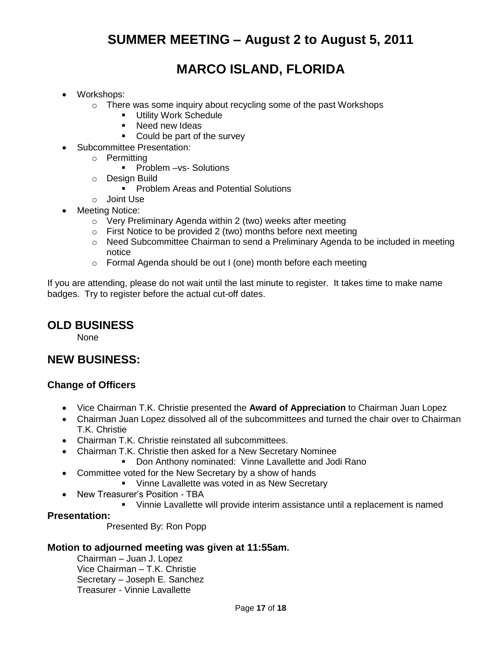# **MARCO ISLAND, FLORIDA**

- Workshops:
	- o There was some inquiry about recycling some of the past Workshops
		- **Utility Work Schedule**
		- **Need new Ideas**
		- Could be part of the survey
- Subcommittee Presentation:
	- o Permitting
		- **Problem –vs- Solutions**
	- o Design Build
		- **Problem Areas and Potential Solutions**
	- o Joint Use
- Meeting Notice:
	- o Very Preliminary Agenda within 2 (two) weeks after meeting
	- $\circ$  First Notice to be provided 2 (two) months before next meeting
	- o Need Subcommittee Chairman to send a Preliminary Agenda to be included in meeting notice
	- o Formal Agenda should be out I (one) month before each meeting

If you are attending, please do not wait until the last minute to register. It takes time to make name badges. Try to register before the actual cut-off dates.

### **OLD BUSINESS**

None

### **NEW BUSINESS:**

### **Change of Officers**

- Vice Chairman T.K. Christie presented the **Award of Appreciation** to Chairman Juan Lopez
- Chairman Juan Lopez dissolved all of the subcommittees and turned the chair over to Chairman T.K. Christie
- Chairman T.K. Christie reinstated all subcommittees.
- Chairman T.K. Christie then asked for a New Secretary Nominee
	- **Don Anthony nominated: Vinne Lavallette and Jodi Rano**
- Committee voted for the New Secretary by a show of hands
	- **Vinne Lavallette was voted in as New Secretary**
- New Treasurer's Position TBA
	- Vinnie Lavallette will provide interim assistance until a replacement is named

### **Presentation:**

Presented By: Ron Popp

#### **Motion to adjourned meeting was given at 11:55am.**

Chairman – Juan J. Lopez Vice Chairman – T.K. Christie Secretary – Joseph E. Sanchez Treasurer - Vinnie Lavallette